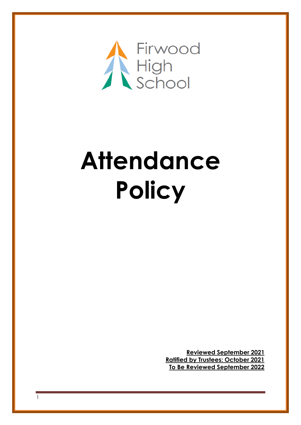

## **Attendance Policy**

**Reviewed September 2021 Ratified by Trustees: October 2021 To Be Reviewed September 2022**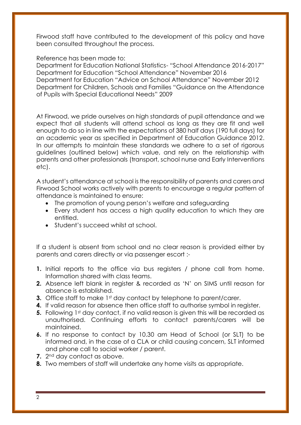Firwood staff have contributed to the development of this policy and have been consulted throughout the process.

Reference has been made to:

Department for Education National Statistics- "School Attendance 2016-2017" Department for Education "School Attendance" November 2016 Department for Education "Advice on School Attendance" November 2012 Department for Children, Schools and Families "Guidance on the Attendance of Pupils with Special Educational Needs" 2009

At Firwood, we pride ourselves on high standards of pupil attendance and we expect that all students will attend school as long as they are fit and well enough to do so in line with the expectations of 380 half days (190 full days) for an academic year as specified in Department of Education Guidance 2012. In our attempts to maintain these standards we adhere to a set of rigorous guidelines (outlined below) which value, and rely on the relationship with parents and other professionals (transport, school nurse and Early Interventions etc).

A student's attendance at school is the responsibility of parents and carers and Firwood School works actively with parents to encourage a regular pattern of attendance is maintained to ensure:

- The promotion of young person's welfare and safeguarding
- Every student has access a high quality education to which they are entitled.
- Student's succeed whilst at school.

If a student is absent from school and no clear reason is provided either by parents and carers directly or via passenger escort :-

- **1.** Initial reports to the office via bus registers / phone call from home. Information shared with class teams.
- **2.** Absence left blank in register & recorded as 'N' on SIMS until reason for absence is established.
- **3.** Office staff to make 1st day contact by telephone to parent/carer.
- **4.** If valid reason for absence then office staff to authorise symbol in register.
- **5.** Following 1st day contact, if no valid reason is given this will be recorded as unauthorised. Continuing efforts to contact parents/carers will be maintained.
- **6.** If no response to contact by 10.30 am Head of School (or SLT) to be informed and, in the case of a CLA or child causing concern, SLT informed and phone call to social worker / parent.
- **7.** 2nd day contact as above.
- **8.** Two members of staff will undertake any home visits as appropriate.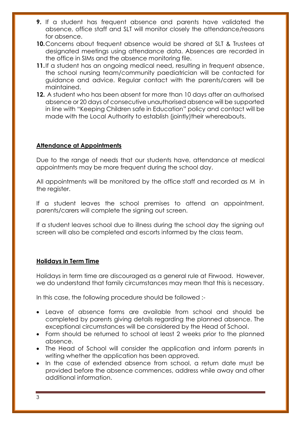- **9.** If a student has frequent absence and parents have validated the absence, office staff and SLT will monitor closely the attendance/reasons for absence.
- **10.**Concerns about frequent absence would be shared at SLT & Trustees at designated meetings using attendance data. Absences are recorded in the office in SIMs and the absence monitoring file.
- **11.**If a student has an ongoing medical need, resulting in frequent absence, the school nursing team/community paediatrician will be contacted for guidance and advice. Regular contact with the parents/carers will be maintained.
- **12.** A student who has been absent for more than 10 days after an authorised absence or 20 days of consecutive unauthorised absence will be supported in line with "Keeping Children safe in Education" policy and contact will be made with the Local Authority to establish (jointly)their whereabouts.

## **Attendance at Appointments**

Due to the range of needs that our students have, attendance at medical appointments may be more frequent during the school day.

All appointments will be monitored by the office staff and recorded as M in the register.

If a student leaves the school premises to attend an appointment, parents/carers will complete the signing out screen.

If a student leaves school due to illness during the school day the signing out screen will also be completed and escorts informed by the class team.

## **Holidays in Term Time**

Holidays in term time are discouraged as a general rule at Firwood. However, we do understand that family circumstances may mean that this is necessary.

In this case, the following procedure should be followed :-

- Leave of absence forms are available from school and should be completed by parents giving details regarding the planned absence. The exceptional circumstances will be considered by the Head of School.
- Form should be returned to school at least 2 weeks prior to the planned absence.
- The Head of School will consider the application and inform parents in writing whether the application has been approved.
- In the case of extended absence from school, a return date must be provided before the absence commences, address while away and other additional information.